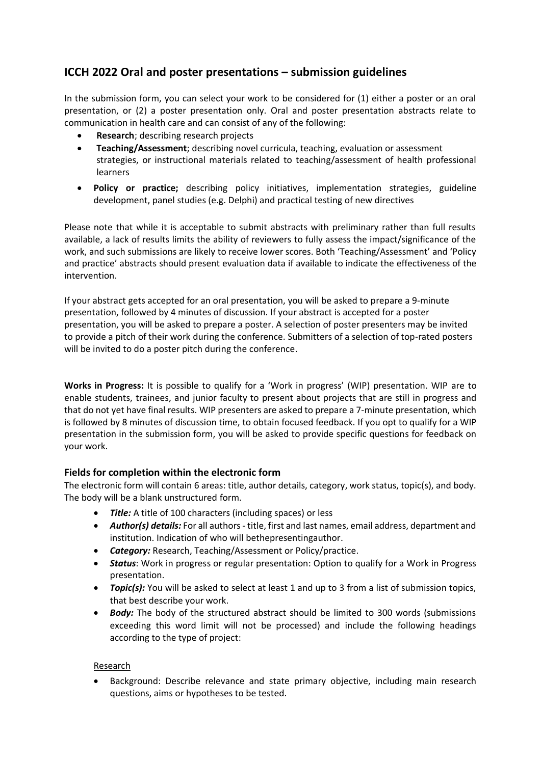# **ICCH 2022 Oral and poster presentations – submission guidelines**

In the submission form, you can select your work to be considered for (1) either a poster or an oral presentation, or (2) a poster presentation only. Oral and poster presentation abstracts relate to communication in health care and can consist of any of the following:

- **Research**; describing research projects
- **Teaching/Assessment**; describing novel curricula, teaching, evaluation or assessment strategies, or instructional materials related to teaching/assessment of health professional learners
- **Policy or practice;** describing policy initiatives, implementation strategies, guideline development, panel studies (e.g. Delphi) and practical testing of new directives

Please note that while it is acceptable to submit abstracts with preliminary rather than full results available, a lack of results limits the ability of reviewers to fully assess the impact/significance of the work, and such submissions are likely to receive lower scores. Both 'Teaching/Assessment' and 'Policy and practice' abstracts should present evaluation data if available to indicate the effectiveness of the intervention.

If your abstract gets accepted for an oral presentation, you will be asked to prepare a 9-minute presentation, followed by 4 minutes of discussion. If your abstract is accepted for a poster presentation, you will be asked to prepare a poster. A selection of poster presenters may be invited to provide a pitch of their work during the conference. Submitters of a selection of top-rated posters will be invited to do a poster pitch during the conference.

**Works in Progress:** It is possible to qualify for a 'Work in progress' (WIP) presentation. WIP are to enable students, trainees, and junior faculty to present about projects that are still in progress and that do not yet have final results. WIP presenters are asked to prepare a 7-minute presentation, which is followed by 8 minutes of discussion time, to obtain focused feedback. If you opt to qualify for a WIP presentation in the submission form, you will be asked to provide specific questions for feedback on your work.

## **Fields for completion within the electronic form**

The electronic form will contain 6 areas: title, author details, category, work status, topic(s), and body. The body will be a blank unstructured form.

- *Title:* A title of 100 characters (including spaces) or less
- *Author(s) details:* For all authors title, first and last names, email address, department and institution. Indication of who will bethepresentingauthor.
- *Category:* Research, Teaching/Assessment or Policy/practice.
- *Status*: Work in progress or regular presentation: Option to qualify for a Work in Progress presentation.
- **Topic(s):** You will be asked to select at least 1 and up to 3 from a list of submission topics, that best describe your work.
- *Body:* The body of the structured abstract should be limited to 300 words (submissions exceeding this word limit will not be processed) and include the following headings according to the type of project:

## Research

• Background: Describe relevance and state primary objective, including main research questions, aims or hypotheses to be tested.